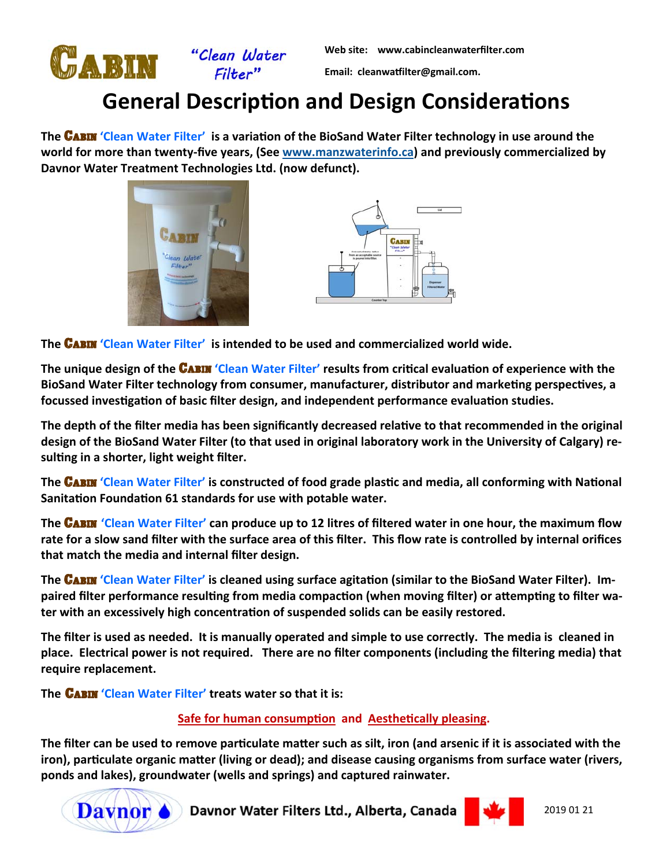

**Web site: www.cabincleanwaterfilter.com** 

**Email: cleanwaƞilter@gmail.com.** 

## **General Description and Design Considerations**

**The CABIN 'Clean Water Filter' is a variation of the BioSand Water Filter technology in use around the** world for more than twenty-five years, (See www.manzwaterinfo.ca) and previously commercialized by **Davnor Water Treatment Technologies Ltd. (now defunct).** 





**The** Cabin **'Clean Water Filter' is intended to be used and commercialized world wide.** 

**The unique design of the <b>CABIN** 'Clean Water Filter' results from critical evaluation of experience with the BioSand Water Filter technology from consumer, manufacturer, distributor and marketing perspectives, a focussed investigation of basic filter design, and independent performance evaluation studies.

The depth of the filter media has been significantly decreased relative to that recommended in the original **design of the BioSand Water Filter (to that used in original laboratory work in the University of Calgary) re‐** sulting in a shorter, light weight filter.

**The CABIN 'Clean Water Filter' is constructed of food grade plastic and media, all conforming with National** Sanitation Foundation 61 standards for use with potable water.

**The CABIN 'Clean Water Filter' can produce up to 12 litres of filtered water in one hour, the maximum flow rate for a slow sand filter with the surface area of this filter. This flow rate is controlled by internal orifices that match the media and internal filter design.** 

**The CABIN 'Clean Water Filter' is cleaned using surface agitation (similar to the BioSand Water Filter). Im**paired filter performance resulting from media compaction (when moving filter) or attempting to filter water with an excessively high concentration of suspended solids can be easily restored.

**The filter is used as needed. It is manually operated and simple to use correctly. The media is cleaned in place. Electrical power is not required. There are no filter components (including the filtering media) that require replacement.** 

**The CABIN 'Clean Water Filter' treats water so that it is:** 

## **Safe for human consumption and Aesthetically pleasing.**

The filter can be used to remove particulate matter such as silt, iron (and arsenic if it is associated with the iron), particulate organic matter (living or dead); and disease causing organisms from surface water (rivers, **ponds and lakes), groundwater (wells and springs) and captured rainwater.** 



**Davnor C** Davnor Water Filters Ltd., Alberta, Canada



2019 01 21